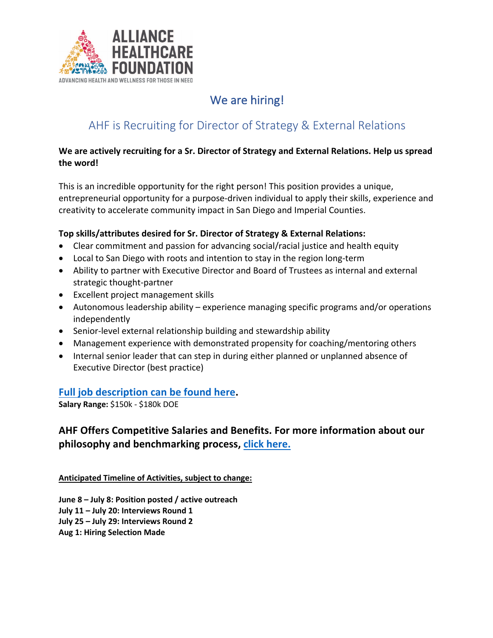

# We are hiring!

# AHF is Recruiting for Director of Strategy & External Relations

#### **We are actively recruiting for a Sr. Director of Strategy and External Relations. Help us spread the word!**

This is an incredible opportunity for the right person! This position provides a unique, entrepreneurial opportunity for a purpose-driven individual to apply their skills, experience and creativity to accelerate community impact in San Diego and Imperial Counties.

#### **Top skills/attributes desired for Sr. Director of Strategy & External Relations:**

- Clear commitment and passion for advancing social/racial justice and health equity
- Local to San Diego with roots and intention to stay in the region long-term
- Ability to partner with Executive Director and Board of Trustees as internal and external strategic thought-partner
- Excellent project management skills
- Autonomous leadership ability experience managing specific programs and/or operations independently
- Senior-level external relationship building and stewardship ability
- Management experience with demonstrated propensity for coaching/mentoring others
- Internal senior leader that can step in during either planned or unplanned absence of Executive Director (best practice)

### **Full job description can be found here.**

**Salary Range:** \$150k - \$180k DOE

### **AHF Offers Competitive Salaries and Benefits. For more information about our philosophy and benchmarking process, click here.**

**Anticipated Timeline of Activities, subject to change:** 

**June 8 – July 8: Position posted / active outreach July 11 – July 20: Interviews Round 1 July 25 – July 29: Interviews Round 2 Aug 1: Hiring Selection Made**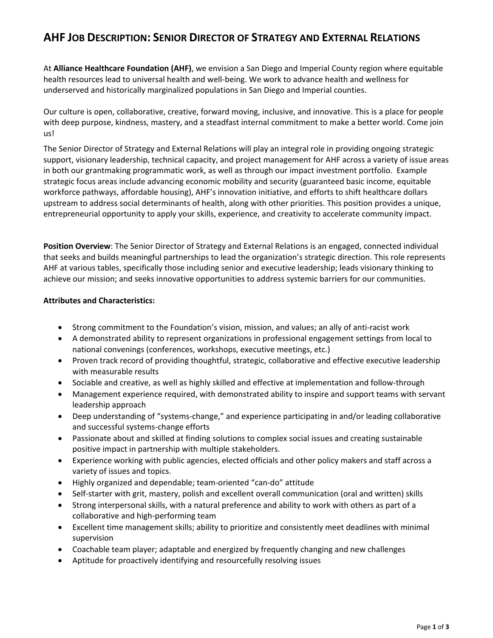### **AHF JOB DESCRIPTION: SENIOR DIRECTOR OF STRATEGY AND EXTERNAL RELATIONS**

At **Alliance Healthcare Foundation (AHF)**, we envision a San Diego and Imperial County region where equitable health resources lead to universal health and well-being. We work to advance health and wellness for underserved and historically marginalized populations in San Diego and Imperial counties.

Our culture is open, collaborative, creative, forward moving, inclusive, and innovative. This is a place for people with deep purpose, kindness, mastery, and a steadfast internal commitment to make a better world. Come join us!

The Senior Director of Strategy and External Relations will play an integral role in providing ongoing strategic support, visionary leadership, technical capacity, and project management for AHF across a variety of issue areas in both our grantmaking programmatic work, as well as through our impact investment portfolio. Example strategic focus areas include advancing economic mobility and security (guaranteed basic income, equitable workforce pathways, affordable housing), AHF's innovation initiative, and efforts to shift healthcare dollars upstream to address social determinants of health, along with other priorities. This position provides a unique, entrepreneurial opportunity to apply your skills, experience, and creativity to accelerate community impact.

**Position Overview**: The Senior Director of Strategy and External Relations is an engaged, connected individual that seeks and builds meaningful partnerships to lead the organization's strategic direction. This role represents AHF at various tables, specifically those including senior and executive leadership; leads visionary thinking to achieve our mission; and seeks innovative opportunities to address systemic barriers for our communities.

#### **Attributes and Characteristics:**

- Strong commitment to the Foundation's vision, mission, and values; an ally of anti-racist work
- A demonstrated ability to represent organizations in professional engagement settings from local to national convenings (conferences, workshops, executive meetings, etc.)
- Proven track record of providing thoughtful, strategic, collaborative and effective executive leadership with measurable results
- Sociable and creative, as well as highly skilled and effective at implementation and follow-through
- Management experience required, with demonstrated ability to inspire and support teams with servant leadership approach
- Deep understanding of "systems-change," and experience participating in and/or leading collaborative and successful systems-change efforts
- Passionate about and skilled at finding solutions to complex social issues and creating sustainable positive impact in partnership with multiple stakeholders.
- Experience working with public agencies, elected officials and other policy makers and staff across a variety of issues and topics.
- Highly organized and dependable; team-oriented "can-do" attitude
- Self-starter with grit, mastery, polish and excellent overall communication (oral and written) skills
- Strong interpersonal skills, with a natural preference and ability to work with others as part of a collaborative and high-performing team
- Excellent time management skills; ability to prioritize and consistently meet deadlines with minimal supervision
- Coachable team player; adaptable and energized by frequently changing and new challenges
- Aptitude for proactively identifying and resourcefully resolving issues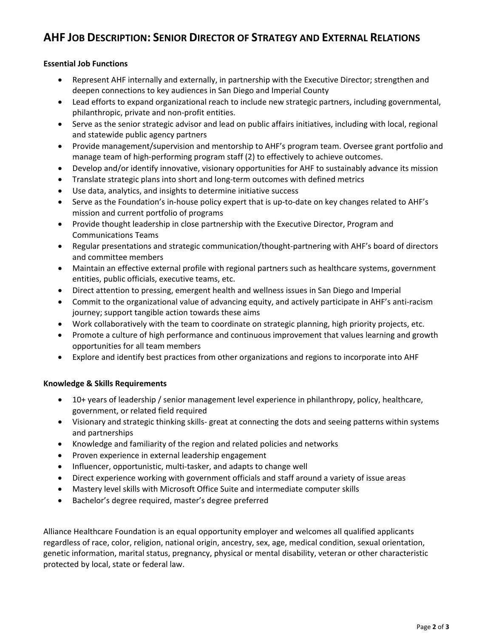## **AHF JOB DESCRIPTION: SENIOR DIRECTOR OF STRATEGY AND EXTERNAL RELATIONS**

#### **Essential Job Functions**

- Represent AHF internally and externally, in partnership with the Executive Director; strengthen and deepen connections to key audiences in San Diego and Imperial County
- Lead efforts to expand organizational reach to include new strategic partners, including governmental, philanthropic, private and non-profit entities.
- Serve as the senior strategic advisor and lead on public affairs initiatives, including with local, regional and statewide public agency partners
- Provide management/supervision and mentorship to AHF's program team. Oversee grant portfolio and manage team of high-performing program staff (2) to effectively to achieve outcomes.
- Develop and/or identify innovative, visionary opportunities for AHF to sustainably advance its mission
- Translate strategic plans into short and long-term outcomes with defined metrics
- Use data, analytics, and insights to determine initiative success
- Serve as the Foundation's in-house policy expert that is up-to-date on key changes related to AHF's mission and current portfolio of programs
- Provide thought leadership in close partnership with the Executive Director, Program and Communications Teams
- Regular presentations and strategic communication/thought-partnering with AHF's board of directors and committee members
- Maintain an effective external profile with regional partners such as healthcare systems, government entities, public officials, executive teams, etc.
- Direct attention to pressing, emergent health and wellness issues in San Diego and Imperial
- Commit to the organizational value of advancing equity, and actively participate in AHF's anti-racism journey; support tangible action towards these aims
- Work collaboratively with the team to coordinate on strategic planning, high priority projects, etc.
- Promote a culture of high performance and continuous improvement that values learning and growth opportunities for all team members
- Explore and identify best practices from other organizations and regions to incorporate into AHF

#### **Knowledge & Skills Requirements**

- 10+ years of leadership / senior management level experience in philanthropy, policy, healthcare, government, or related field required
- Visionary and strategic thinking skills- great at connecting the dots and seeing patterns within systems and partnerships
- Knowledge and familiarity of the region and related policies and networks
- Proven experience in external leadership engagement
- Influencer, opportunistic, multi-tasker, and adapts to change well
- Direct experience working with government officials and staff around a variety of issue areas
- Mastery level skills with Microsoft Office Suite and intermediate computer skills
- Bachelor's degree required, master's degree preferred

Alliance Healthcare Foundation is an equal opportunity employer and welcomes all qualified applicants regardless of race, color, religion, national origin, ancestry, sex, age, medical condition, sexual orientation, genetic information, marital status, pregnancy, physical or mental disability, veteran or other characteristic protected by local, state or federal law.